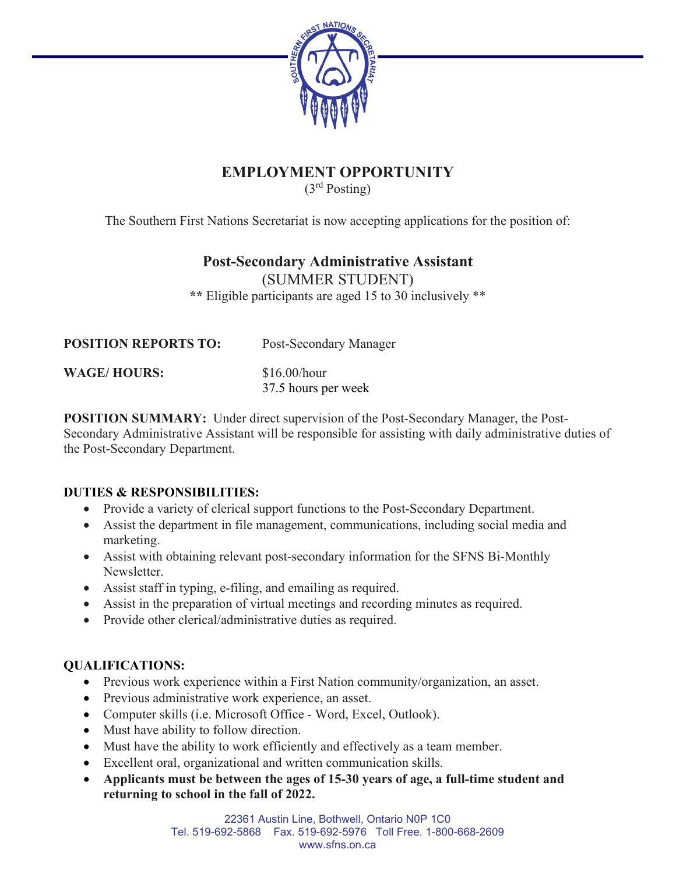

# **EMPLOYMENT OPPORTUNITY**

(3rd Posting)

The Southern First Nations Secretariat is now accepting applications for the position of:

## **Post-Secondary Administrative Assistant**

(SUMMER STUDENT)

**\*\*** Eligible participants are aged 15 to 30 inclusively \*\*

| <b>POSITION REPORTS TO:</b> | Post-Secondary Manager                |
|-----------------------------|---------------------------------------|
| <b>WAGE/HOURS:</b>          | $$16.00/h$ our<br>37.5 hours per week |
|                             |                                       |

**POSITION SUMMARY:** Under direct supervision of the Post-Secondary Manager, the Post-Secondary Administrative Assistant will be responsible for assisting with daily administrative duties of the Post-Secondary Department.

## **DUTIES & RESPONSIBILITIES:**

- Provide a variety of clerical support functions to the Post-Secondary Department.
- Assist the department in file management, communications, including social media and marketing.
- Assist with obtaining relevant post-secondary information for the SFNS Bi-Monthly Newsletter.
- Assist staff in typing, e-filing, and emailing as required.
- Assist in the preparation of virtual meetings and recording minutes as required.
- Provide other clerical/administrative duties as required.

## **QUALIFICATIONS:**

- Previous work experience within a First Nation community/organization, an asset.
- Previous administrative work experience, an asset.
- Computer skills (i.e. Microsoft Office Word, Excel, Outlook).
- Must have ability to follow direction.
- Must have the ability to work efficiently and effectively as a team member.
- Excellent oral, organizational and written communication skills.
- **Applicants must be between the ages of 15-30 years of age, a full-time student and returning to school in the fall of 2022.**